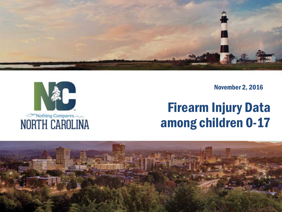

November 2, 2016

### Firearm Injury Data among children 0-17



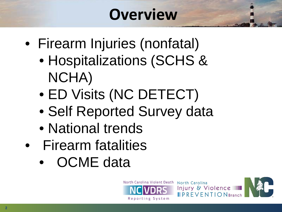# **Overview**

- Firearm Injuries (nonfatal)
	- Hospitalizations (SCHS & NCHA)
	- ED Visits (NC DETECT)
	- Self Reported Survey data
	- National trends
- Firearm fatalities
	- OCME data



North Carolina

Injury & Violence

 $\blacksquare$  PREVENTION Branch

2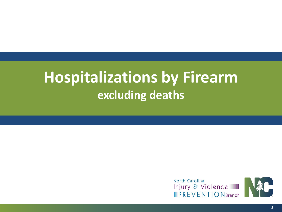# **Hospitalizations by Firearm excluding deaths**

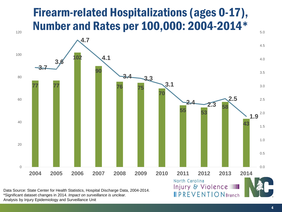#### Firearm-related Hospitalizations (ages 0-17), Number and Rates per 100,000: 2004-2014\*



\*Significant dataset changes in 2014. *Impact on surveillance is unclear.*

Analysis by Injury Epidemiology and Surveillance Unit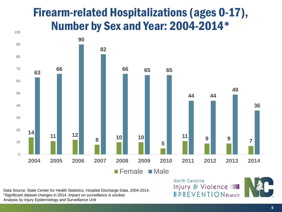#### Firearm-related Hospitalizations (ages 0-17), Number by Sex and Year: 2004-2014\*



Data Source: State Center for Health Statistics, Hospital Discharge Data, 2004-2014. \*Significant dataset changes in 2014. *Impact on surveillance is unclear.* Analysis by Injury Epidemiology and Surveillance Unit

#### North Carolina Injury & Violence **PREVENTION** Branch

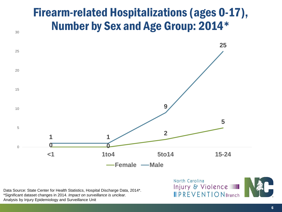#### Firearm-related Hospitalizations (ages 0-17), Number by Sex and Age Group: 2014\*



Data Source: State Center for Health Statistics, Hospital Discharge Data, 2014\*. \*Significant dataset changes in 2014. *Impact on surveillance is unclear.* Analysis by Injury Epidemiology and Surveillance Unit

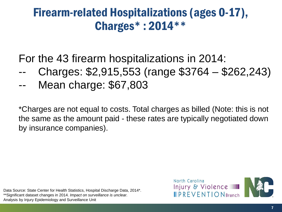#### Firearm-related Hospitalizations (ages 0-17), Charges\* : 2014\*\*

For the 43 firearm hospitalizations in 2014:

- -- Charges: \$2,915,553 (range \$3764 \$262,243)
- Mean charge: \$67,803

\*Charges are not equal to costs. Total charges as billed (Note: this is not the same as the amount paid - these rates are typically negotiated down by insurance companies).

Data Source: State Center for Health Statistics, Hospital Discharge Data, 2014\*. \*\*Significant dataset changes in 2014. *Impact on surveillance is unclear.* Analysis by Injury Epidemiology and Surveillance Unit

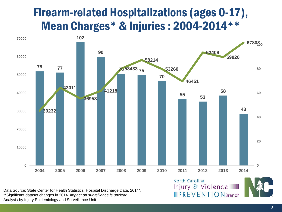#### Firearm-related Hospitalizations (ages 0-17), Mean Charges\* & Injuries : 2004-2014\*\*



North Carolina

Injury & Violence

**PREVENTION** Branch

Data Source: State Center for Health Statistics, Hospital Discharge Data, 2014\*. \*\*Significant dataset changes in 2014. *Impact on surveillance is unclear.* Analysis by Injury Epidemiology and Surveillance Unit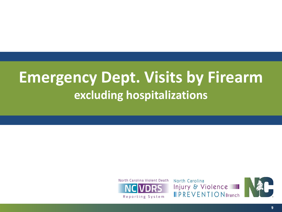# **Emergency Dept. Visits by Firearm excluding hospitalizations**



North Carolina Injury & Violence **IPREVENTIONBranch** 

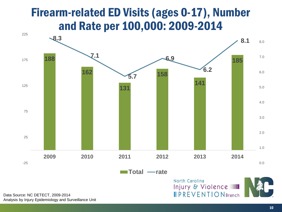#### Firearm-related ED Visits (ages 0-17), Number and Rate per 100,000: 2009-2014



Data Source: NC DETECT, 2009-2014 Analysis by Injury Epidemiology and Surveillance Unit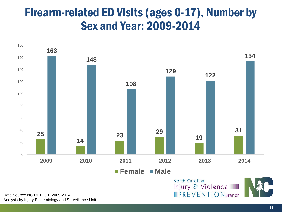#### Firearm-related ED Visits (ages 0-17), Number by Sex and Year: 2009-2014



Data Source: NC DETECT, 2009-2014 Analysis by Injury Epidemiology and Surveillance Unit **IPREVENTION** Branch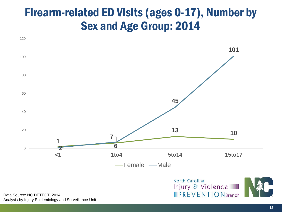#### Firearm-related ED Visits (ages 0-17), Number by Sex and Age Group: 2014



Analysis by Injury Epidemiology and Surveillance Unit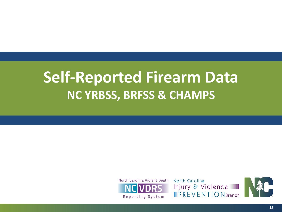# **Self-Reported Firearm Data NC YRBSS, BRFSS & CHAMPS**



North Carolina Injury & Violence **PREVENTION** Branch

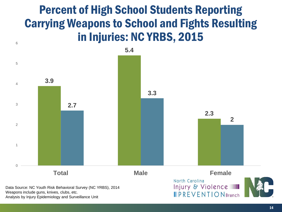#### Percent of High School Students Reporting Carrying Weapons to School and Fights Resulting in Injuries: NC YRBS, 2015



Weapons include guns, knives, clubs, etc.

6

Analysis by Injury Epidemiology and Surveillance Unit

**PREVENTION** Branch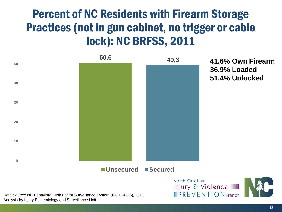### Percent of NC Residents with Firearm Storage Practices (not in gun cabinet, no trigger or cable lock): NC BRFSS, 2011



Data Source: NC Behavioral Risk Factor Surveillance System (NC BRFSS), 2011 Analysis by Injury Epidemiology and Surveillance Unit

**41.6% Own Firearm 36.9% Loaded 51.4% Unlocked**



 $\blacksquare$  PREVENTION Branch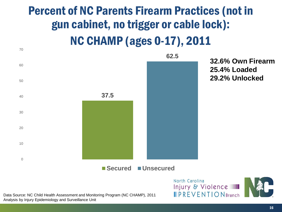### Percent of NC Parents Firearm Practices (not in gun cabinet, no trigger or cable lock): NC CHAMP (ages 0-17), 2011



**32.6% Own Firearm 25.4% Loaded 29.2% Unlocked**

Data Source: NC Child Health Assessment and Monitoring Program (NC CHAMP), 2011 Analysis by Injury Epidemiology and Surveillance Unit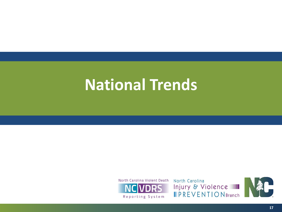# **National Trends**



North Carolina Injury & Violence **IPREVENTIONBranch** 

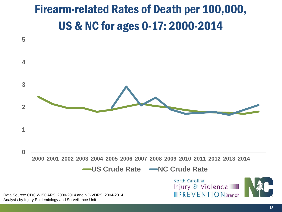### Firearm-related Rates of Death per 100,000, US & NC for ages 0-17: 2000-2014

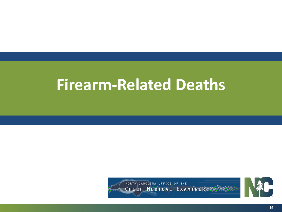# **Firearm-Related Deaths**



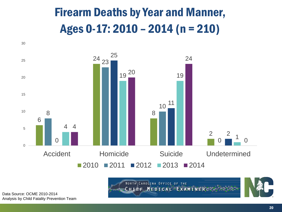# Firearm Deaths by Year and Manner, Ages 0-17: 2010 – 2014 (n = 210)



NORTH CAROLINA OFFICE OF THE CHIEF MEDICAL EXAMINER: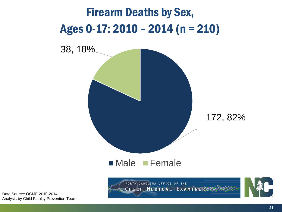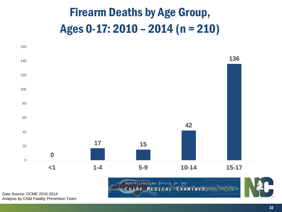# Firearm Deaths by Age Group, Ages 0-17: 2010 – 2014 (n = 210)



NORTH CAROLINA OFFICE OF THE CHIEF MEDICAL EXAMINER.

![](_page_21_Picture_3.jpeg)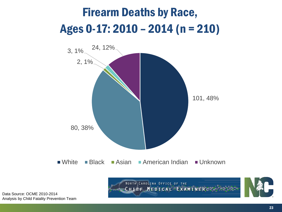# Firearm Deaths by Race, Ages 0-17: 2010 – 2014 (n = 210)

![](_page_22_Figure_1.jpeg)

Data Source: OCME 2010-2014 Analysis by Child Fatality Prevention Team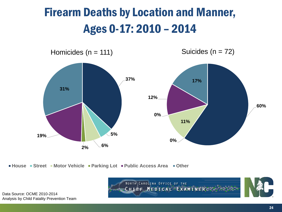# Firearm Deaths by Location and Manner, Ages 0-17: 2010 – 2014

![](_page_23_Figure_1.jpeg)

**House Street Motor Vehicle Parking Lot Public Access Area Other**

NORTH CAROLINA OFFICE OF THE CHIEF MEDICAL EXAMINER.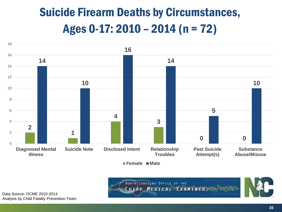# Suicide Firearm Deaths by Circumstances, Ages 0-17: 2010 – 2014 (n = 72)

![](_page_24_Figure_1.jpeg)

**Female Male**

![](_page_24_Picture_3.jpeg)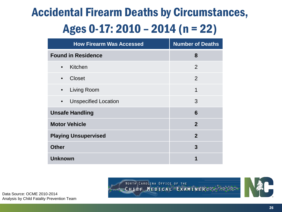# Accidental Firearm Deaths by Circumstances, Ages 0-17: 2010 – 2014 (n = 22)

| <b>How Firearm Was Accessed</b>          | <b>Number of Deaths</b> |
|------------------------------------------|-------------------------|
| <b>Found in Residence</b>                | 8                       |
| Kitchen<br>$\bullet$                     | 2                       |
| <b>Closet</b><br>$\bullet$               | 2                       |
| Living Room<br>$\bullet$                 | 1                       |
| <b>Unspecified Location</b><br>$\bullet$ | 3                       |
| <b>Unsafe Handling</b>                   | 6                       |
| <b>Motor Vehicle</b>                     | $\mathbf{2}$            |
| <b>Playing Unsupervised</b>              | $\overline{2}$          |
| <b>Other</b>                             | 3                       |
| <b>Unknown</b>                           | 1                       |

![](_page_25_Picture_2.jpeg)

![](_page_25_Picture_3.jpeg)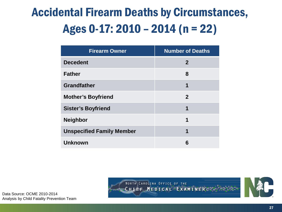# Accidental Firearm Deaths by Circumstances, Ages 0-17: 2010 – 2014 (n = 22)

| <b>Firearm Owner</b>             | <b>Number of Deaths</b> |
|----------------------------------|-------------------------|
| <b>Decedent</b>                  | $\mathbf{2}$            |
| <b>Father</b>                    | 8                       |
| <b>Grandfather</b>               | 1                       |
| <b>Mother's Boyfriend</b>        | $\overline{2}$          |
| <b>Sister's Boyfriend</b>        | 1                       |
| <b>Neighbor</b>                  | 1                       |
| <b>Unspecified Family Member</b> | 1                       |
| <b>Unknown</b>                   | 6                       |

NORTH CAROLINA OFFICE OF THE CHIEF MEDICAL EXAMINER.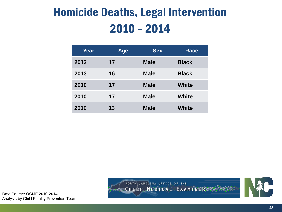# Homicide Deaths, Legal Intervention 2010 – 2014

| Year | <b>Age</b> | <b>Sex</b>  | <b>Race</b>  |
|------|------------|-------------|--------------|
| 2013 | 17         | <b>Male</b> | <b>Black</b> |
| 2013 | 16         | <b>Male</b> | <b>Black</b> |
| 2010 | 17         | <b>Male</b> | <b>White</b> |
| 2010 | 17         | <b>Male</b> | <b>White</b> |
| 2010 | 13         | <b>Male</b> | <b>White</b> |

NORTH CAROLINA OFFICE OF THE CHIEF MEDICAL EXAMINER